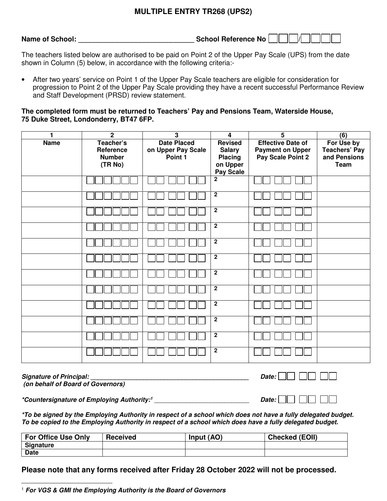## **MULTIPLE ENTRY TR268 (UPS2)**

| <b>Name of School:</b> | School Reference No |  |
|------------------------|---------------------|--|
|------------------------|---------------------|--|

The teachers listed below are authorised to be paid on Point 2 of the Upper Pay Scale (UPS) from the date shown in Column (5) below, in accordance with the following criteria:-

• After two years' service on Point 1 of the Upper Pay Scale teachers are eligible for consideration for progression to Point 2 of the Upper Pay Scale providing they have a recent successful Performance Review and Staff Development (PRSD) review statement.

**The completed form must be returned to Teachers' Pay and Pensions Team, Waterside House, 75 Duke Street, Londonderry, BT47 6FP.** 

| $\mathbf{1}$ | $\overline{2}$                                     | $\overline{\mathbf{3}}$                             | $\overline{\mathbf{4}}$                                                    | $\overline{5}$                                                           | (6)                                                        |
|--------------|----------------------------------------------------|-----------------------------------------------------|----------------------------------------------------------------------------|--------------------------------------------------------------------------|------------------------------------------------------------|
| <b>Name</b>  | Teacher's<br>Reference<br><b>Number</b><br>(TR No) | <b>Date Placed</b><br>on Upper Pay Scale<br>Point 1 | Revised<br><b>Salary</b><br><b>Placing</b><br>on Upper<br><b>Pay Scale</b> | <b>Effective Date of</b><br><b>Payment on Upper</b><br>Pay Scale Point 2 | For Use by<br><b>Teachers' Pay</b><br>and Pensions<br>Team |
|              |                                                    |                                                     | $\overline{2}$                                                             |                                                                          |                                                            |
|              |                                                    |                                                     | $\overline{2}$                                                             |                                                                          |                                                            |
|              |                                                    |                                                     | $\overline{2}$                                                             |                                                                          |                                                            |
|              |                                                    |                                                     | $\overline{\mathbf{2}}$                                                    |                                                                          |                                                            |
|              |                                                    |                                                     | $\overline{2}$                                                             |                                                                          |                                                            |
|              |                                                    |                                                     | $\overline{2}$                                                             |                                                                          |                                                            |
|              |                                                    |                                                     | $\overline{\mathbf{2}}$                                                    |                                                                          |                                                            |
|              |                                                    |                                                     | $\mathbf{2}$                                                               |                                                                          |                                                            |
|              |                                                    |                                                     | $\overline{2}$                                                             |                                                                          |                                                            |
|              |                                                    |                                                     | $\overline{2}$                                                             |                                                                          |                                                            |
|              |                                                    |                                                     | $\overline{2}$                                                             |                                                                          |                                                            |
|              |                                                    |                                                     | $\overline{2}$                                                             |                                                                          |                                                            |

| <b>Signature of Principal:</b>    | Date: $\Box$ $\Box$ $\Box$ $\Box$ |
|-----------------------------------|-----------------------------------|
| (on behalf of Board of Governors) |                                   |

**\*Countersignature of Employing Authority:<sup>1</sup>** \_\_\_\_\_\_\_\_\_\_\_\_\_\_\_\_\_\_\_\_\_\_\_\_\_\_\_ **Date:** 

**\*To be signed by the Employing Authority in respect of a school which does not have a fully delegated budget. To be copied to the Employing Authority in respect of a school which does have a fully delegated budget.** 

| <b>For Office Use Only</b> | <b>Received</b> | Input (AO) | <b>Checked (EOII)</b> |
|----------------------------|-----------------|------------|-----------------------|
| Signature                  |                 |            |                       |
| <b>Date</b>                |                 |            |                       |

**Please note that any forms received after Friday 28 October 2022 will not be processed.** 

 $\overline{a}$ <sup>1</sup> **For VGS & GMI the Employing Authority is the Board of Governors**